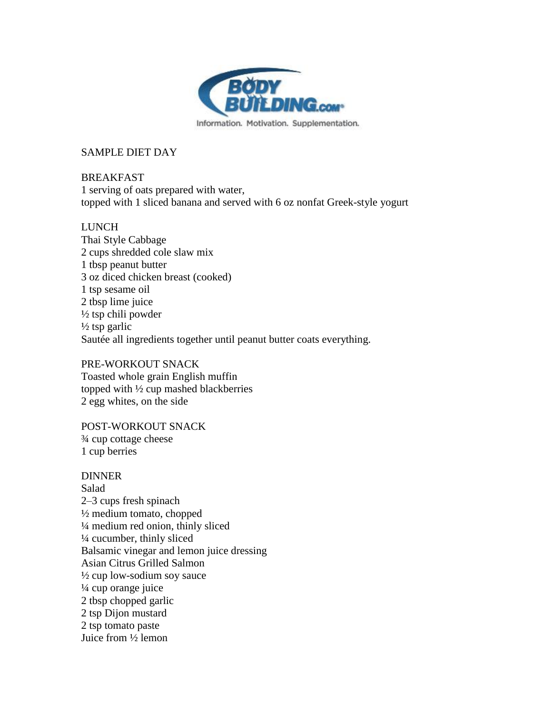

# SAMPLE DIET DAY

# BREAKFAST

1 serving of oats prepared with water, topped with 1 sliced banana and served with 6 oz nonfat Greek-style yogurt

#### LUNCH

Thai Style Cabbage 2 cups shredded cole slaw mix 1 tbsp peanut butter 3 oz diced chicken breast (cooked) 1 tsp sesame oil 2 tbsp lime juice  $\frac{1}{2}$  tsp chili powder  $\frac{1}{2}$  tsp garlic Sautée all ingredients together until peanut butter coats everything.

# PRE-WORKOUT SNACK

Toasted whole grain English muffin topped with ½ cup mashed blackberries 2 egg whites, on the side

POST-WORKOUT SNACK ¾ cup cottage cheese 1 cup berries

# DINNER

Salad 2–3 cups fresh spinach  $\frac{1}{2}$  medium tomato, chopped ¼ medium red onion, thinly sliced ¼ cucumber, thinly sliced Balsamic vinegar and lemon juice dressing Asian Citrus Grilled Salmon ½ cup low-sodium soy sauce ¼ cup orange juice 2 tbsp chopped garlic 2 tsp Dijon mustard 2 tsp tomato paste Juice from ½ lemon